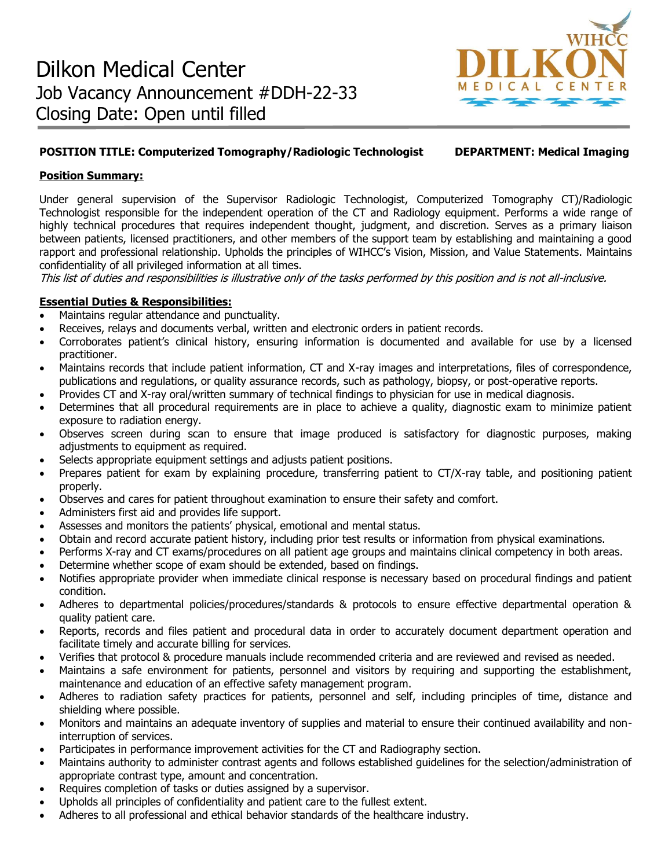

# **POSITION TITLE: Computerized Tomography/Radiologic Technologist DEPARTMENT: Medical Imaging**

### **Position Summary:**

Under general supervision of the Supervisor Radiologic Technologist, Computerized Tomography CT)/Radiologic Technologist responsible for the independent operation of the CT and Radiology equipment. Performs a wide range of highly technical procedures that requires independent thought, judgment, and discretion. Serves as a primary liaison between patients, licensed practitioners, and other members of the support team by establishing and maintaining a good rapport and professional relationship. Upholds the principles of WIHCC's Vision, Mission, and Value Statements. Maintains confidentiality of all privileged information at all times.

This list of duties and responsibilities is illustrative only of the tasks performed by this position and is not all-inclusive.

## **Essential Duties & Responsibilities:**

- Maintains regular attendance and punctuality.
- Receives, relays and documents verbal, written and electronic orders in patient records.
- Corroborates patient's clinical history, ensuring information is documented and available for use by a licensed practitioner.
- Maintains records that include patient information, CT and X-ray images and interpretations, files of correspondence, publications and regulations, or quality assurance records, such as pathology, biopsy, or post-operative reports.
- Provides CT and X-ray oral/written summary of technical findings to physician for use in medical diagnosis.
- Determines that all procedural requirements are in place to achieve a quality, diagnostic exam to minimize patient exposure to radiation energy.
- Observes screen during scan to ensure that image produced is satisfactory for diagnostic purposes, making adjustments to equipment as required.
- Selects appropriate equipment settings and adjusts patient positions.
- Prepares patient for exam by explaining procedure, transferring patient to CT/X-ray table, and positioning patient properly.
- Observes and cares for patient throughout examination to ensure their safety and comfort.
- Administers first aid and provides life support.
- Assesses and monitors the patients' physical, emotional and mental status.
- Obtain and record accurate patient history, including prior test results or information from physical examinations.
- Performs X-ray and CT exams/procedures on all patient age groups and maintains clinical competency in both areas.
- Determine whether scope of exam should be extended, based on findings.
- Notifies appropriate provider when immediate clinical response is necessary based on procedural findings and patient condition.
- Adheres to departmental policies/procedures/standards & protocols to ensure effective departmental operation & quality patient care.
- Reports, records and files patient and procedural data in order to accurately document department operation and facilitate timely and accurate billing for services.
- Verifies that protocol & procedure manuals include recommended criteria and are reviewed and revised as needed.
- Maintains a safe environment for patients, personnel and visitors by requiring and supporting the establishment, maintenance and education of an effective safety management program.
- Adheres to radiation safety practices for patients, personnel and self, including principles of time, distance and shielding where possible.
- Monitors and maintains an adequate inventory of supplies and material to ensure their continued availability and noninterruption of services.
- Participates in performance improvement activities for the CT and Radiography section.
- Maintains authority to administer contrast agents and follows established guidelines for the selection/administration of appropriate contrast type, amount and concentration.
- Requires completion of tasks or duties assigned by a supervisor.
- Upholds all principles of confidentiality and patient care to the fullest extent.
- Adheres to all professional and ethical behavior standards of the healthcare industry.